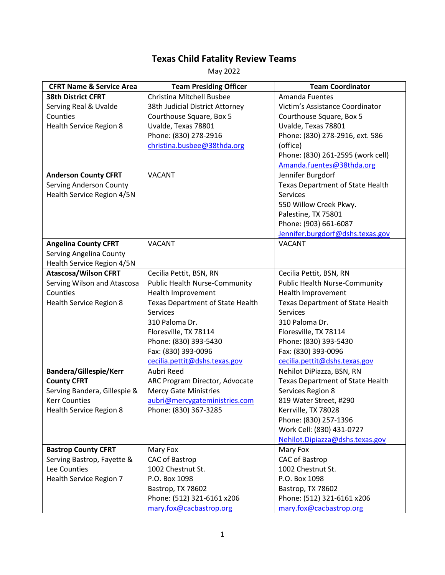## **Texas Child Fatality Review Teams**

May 2022

| <b>CFRT Name &amp; Service Area</b> | <b>Team Presiding Officer</b>           | <b>Team Coordinator</b>                 |
|-------------------------------------|-----------------------------------------|-----------------------------------------|
| <b>38th District CFRT</b>           | Christina Mitchell Busbee               | <b>Amanda Fuentes</b>                   |
| Serving Real & Uvalde               | 38th Judicial District Attorney         | Victim's Assistance Coordinator         |
| Counties                            | Courthouse Square, Box 5                | Courthouse Square, Box 5                |
| <b>Health Service Region 8</b>      | Uvalde, Texas 78801                     | Uvalde, Texas 78801                     |
|                                     | Phone: (830) 278-2916                   | Phone: (830) 278-2916, ext. 586         |
|                                     | christina.busbee@38thda.org             | (office)                                |
|                                     |                                         | Phone: (830) 261-2595 (work cell)       |
|                                     |                                         | Amanda.fuentes@38thda.org               |
| <b>Anderson County CFRT</b>         | <b>VACANT</b>                           | Jennifer Burgdorf                       |
| <b>Serving Anderson County</b>      |                                         | <b>Texas Department of State Health</b> |
| Health Service Region 4/5N          |                                         | Services                                |
|                                     |                                         | 550 Willow Creek Pkwy.                  |
|                                     |                                         | Palestine, TX 75801                     |
|                                     |                                         | Phone: (903) 661-6087                   |
|                                     |                                         | Jennifer.burgdorf@dshs.texas.gov        |
| <b>Angelina County CFRT</b>         | <b>VACANT</b>                           | <b>VACANT</b>                           |
| Serving Angelina County             |                                         |                                         |
| Health Service Region 4/5N          |                                         |                                         |
| <b>Atascosa/Wilson CFRT</b>         | Cecilia Pettit, BSN, RN                 | Cecilia Pettit, BSN, RN                 |
| Serving Wilson and Atascosa         | <b>Public Health Nurse-Community</b>    | <b>Public Health Nurse-Community</b>    |
| Counties                            | Health Improvement                      | Health Improvement                      |
| <b>Health Service Region 8</b>      | <b>Texas Department of State Health</b> | Texas Department of State Health        |
|                                     | <b>Services</b>                         | <b>Services</b>                         |
|                                     | 310 Paloma Dr.                          | 310 Paloma Dr.                          |
|                                     | Floresville, TX 78114                   | Floresville, TX 78114                   |
|                                     | Phone: (830) 393-5430                   | Phone: (830) 393-5430                   |
|                                     | Fax: (830) 393-0096                     | Fax: (830) 393-0096                     |
|                                     | cecilia.pettit@dshs.texas.gov           | cecilia.pettit@dshs.texas.gov           |
| <b>Bandera/Gillespie/Kerr</b>       | Aubri Reed                              | Nehilot DiPiazza, BSN, RN               |
| <b>County CFRT</b>                  | ARC Program Director, Advocate          | <b>Texas Department of State Health</b> |
| Serving Bandera, Gillespie &        | <b>Mercy Gate Ministries</b>            | Services Region 8                       |
| <b>Kerr Counties</b>                | aubri@mercygateministries.com           | 819 Water Street, #290                  |
| Health Service Region 8             | Phone: (830) 367-3285                   | Kerrville, TX 78028                     |
|                                     |                                         | Phone: (830) 257-1396                   |
|                                     |                                         | Work Cell: (830) 431-0727               |
|                                     |                                         | Nehilot.Dipiazza@dshs.texas.gov         |
| <b>Bastrop County CFRT</b>          | Mary Fox                                | Mary Fox                                |
| Serving Bastrop, Fayette &          | CAC of Bastrop                          | CAC of Bastrop                          |
| Lee Counties                        | 1002 Chestnut St.                       | 1002 Chestnut St.                       |
| Health Service Region 7             | P.O. Box 1098                           | P.O. Box 1098                           |
|                                     | Bastrop, TX 78602                       | Bastrop, TX 78602                       |
|                                     | Phone: (512) 321-6161 x206              | Phone: (512) 321-6161 x206              |
|                                     | mary.fox@cacbastrop.org                 | mary.fox@cacbastrop.org                 |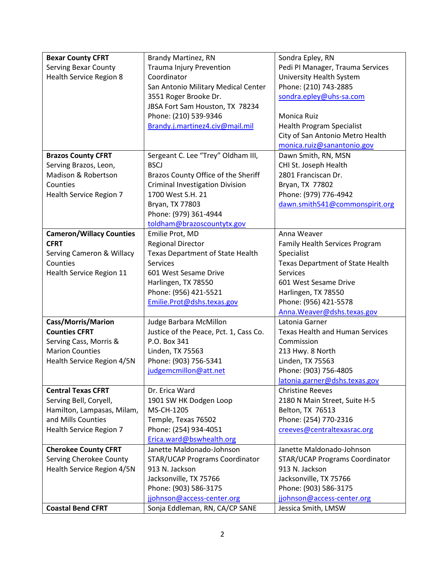| <b>Bexar County CFRT</b>        | Brandy Martinez, RN                    | Sondra Epley, RN                       |
|---------------------------------|----------------------------------------|----------------------------------------|
| <b>Serving Bexar County</b>     | <b>Trauma Injury Prevention</b>        | Pedi PI Manager, Trauma Services       |
| Health Service Region 8         | Coordinator                            | University Health System               |
|                                 | San Antonio Military Medical Center    | Phone: (210) 743-2885                  |
|                                 | 3551 Roger Brooke Dr.                  | sondra.epley@uhs-sa.com                |
|                                 | JBSA Fort Sam Houston, TX 78234        |                                        |
|                                 | Phone: (210) 539-9346                  | Monica Ruiz                            |
|                                 | Brandy.j.martinez4.civ@mail.mil        | <b>Health Program Specialist</b>       |
|                                 |                                        | City of San Antonio Metro Health       |
|                                 |                                        | monica.ruiz@sanantonio.gov             |
| <b>Brazos County CFRT</b>       | Sergeant C. Lee "Trey" Oldham III,     | Dawn Smith, RN, MSN                    |
| Serving Brazos, Leon,           | <b>BSCJ</b>                            | CHI St. Joseph Health                  |
| Madison & Robertson             | Brazos County Office of the Sheriff    | 2801 Franciscan Dr.                    |
| Counties                        | <b>Criminal Investigation Division</b> | Bryan, TX 77802                        |
| Health Service Region 7         | 1700 West S.H. 21                      | Phone: (979) 776-4942                  |
|                                 | Bryan, TX 77803                        | dawn.smith541@commonspirit.org         |
|                                 | Phone: (979) 361-4944                  |                                        |
|                                 | toldham@brazoscountytx.gov             |                                        |
| <b>Cameron/Willacy Counties</b> | Emilie Prot, MD                        | Anna Weaver                            |
| <b>CFRT</b>                     | <b>Regional Director</b>               | Family Health Services Program         |
| Serving Cameron & Willacy       | Texas Department of State Health       | Specialist                             |
| Counties                        | <b>Services</b>                        | Texas Department of State Health       |
| Health Service Region 11        | 601 West Sesame Drive                  | <b>Services</b>                        |
|                                 | Harlingen, TX 78550                    | 601 West Sesame Drive                  |
|                                 | Phone: (956) 421-5521                  | Harlingen, TX 78550                    |
|                                 | Emilie.Prot@dshs.texas.gov             | Phone: (956) 421-5578                  |
|                                 |                                        | Anna. Weaver@dshs.texas.gov            |
| Cass/Morris/Marion              | Judge Barbara McMillon                 | Latonia Garner                         |
| <b>Counties CFRT</b>            | Justice of the Peace, Pct. 1, Cass Co. | <b>Texas Health and Human Services</b> |
| Serving Cass, Morris &          | P.O. Box 341                           | Commission                             |
| <b>Marion Counties</b>          | Linden, TX 75563                       | 213 Hwy. 8 North                       |
| Health Service Region 4/5N      | Phone: (903) 756-5341                  | Linden, TX 75563                       |
|                                 | judgemcmillon@att.net                  | Phone: (903) 756-4805                  |
|                                 |                                        | latonia.garner@dshs.texas.gov          |
| <b>Central Texas CFRT</b>       | Dr. Erica Ward                         | <b>Christine Reeves</b>                |
| Serving Bell, Coryell,          | 1901 SW HK Dodgen Loop                 | 2180 N Main Street, Suite H-5          |
| Hamilton, Lampasas, Milam,      | MS-CH-1205                             | Belton, TX 76513                       |
| and Mills Counties              | Temple, Texas 76502                    | Phone: (254) 770-2316                  |
| Health Service Region 7         | Phone: (254) 934-4051                  | creeves@centraltexasrac.org            |
|                                 | Erica.ward@bswhealth.org               |                                        |
| <b>Cherokee County CFRT</b>     | Janette Maldonado-Johnson              | Janette Maldonado-Johnson              |
| Serving Cherokee County         | STAR/UCAP Programs Coordinator         | STAR/UCAP Programs Coordinator         |
| Health Service Region 4/5N      | 913 N. Jackson                         | 913 N. Jackson                         |
|                                 | Jacksonville, TX 75766                 | Jacksonville, TX 75766                 |
|                                 | Phone: (903) 586-3175                  | Phone: (903) 586-3175                  |
|                                 | jjohnson@access-center.org             | jjohnson@access-center.org             |
| <b>Coastal Bend CFRT</b>        | Sonja Eddleman, RN, CA/CP SANE         | Jessica Smith, LMSW                    |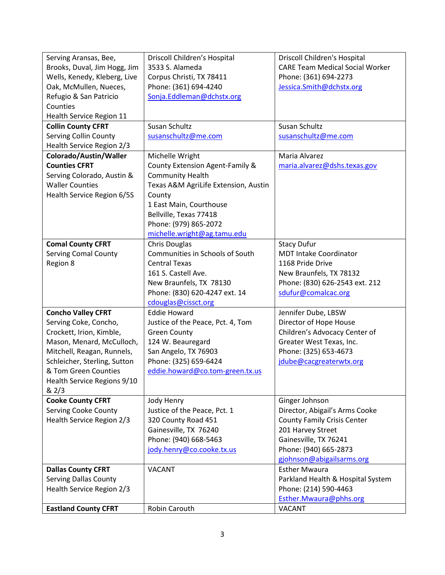| Serving Aransas, Bee,        | Driscoll Children's Hospital         | <b>Driscoll Children's Hospital</b>    |
|------------------------------|--------------------------------------|----------------------------------------|
| Brooks, Duval, Jim Hogg, Jim | 3533 S. Alameda                      | <b>CARE Team Medical Social Worker</b> |
| Wells, Kenedy, Kleberg, Live | Corpus Christi, TX 78411             | Phone: (361) 694-2273                  |
| Oak, McMullen, Nueces,       | Phone: (361) 694-4240                | Jessica.Smith@dchstx.org               |
| Refugio & San Patricio       | Sonja.Eddleman@dchstx.org            |                                        |
| Counties                     |                                      |                                        |
| Health Service Region 11     |                                      |                                        |
| <b>Collin County CFRT</b>    | Susan Schultz                        | Susan Schultz                          |
| <b>Serving Collin County</b> | susanschultz@me.com                  | susanschultz@me.com                    |
| Health Service Region 2/3    |                                      |                                        |
| Colorado/Austin/Waller       | Michelle Wright                      | Maria Alvarez                          |
| <b>Counties CFRT</b>         | County Extension Agent-Family &      | maria.alvarez@dshs.texas.gov           |
| Serving Colorado, Austin &   | <b>Community Health</b>              |                                        |
| <b>Waller Counties</b>       | Texas A&M AgriLife Extension, Austin |                                        |
| Health Service Region 6/5S   | County                               |                                        |
|                              | 1 East Main, Courthouse              |                                        |
|                              | Bellville, Texas 77418               |                                        |
|                              | Phone: (979) 865-2072                |                                        |
|                              | michelle.wright@ag.tamu.edu          |                                        |
| <b>Comal County CFRT</b>     | <b>Chris Douglas</b>                 | <b>Stacy Dufur</b>                     |
| <b>Serving Comal County</b>  | Communities in Schools of South      | <b>MDT Intake Coordinator</b>          |
| Region 8                     | <b>Central Texas</b>                 | 1168 Pride Drive                       |
|                              | 161 S. Castell Ave.                  | New Braunfels, TX 78132                |
|                              | New Braunfels, TX 78130              | Phone: (830) 626-2543 ext. 212         |
|                              | Phone: (830) 620-4247 ext. 14        | sdufur@comalcac.org                    |
|                              | cdouglas@cissct.org                  |                                        |
| <b>Concho Valley CFRT</b>    | <b>Eddie Howard</b>                  | Jennifer Dube, LBSW                    |
| Serving Coke, Concho,        | Justice of the Peace, Pct. 4, Tom    | Director of Hope House                 |
| Crockett, Irion, Kimble,     | <b>Green County</b>                  | Children's Advocacy Center of          |
| Mason, Menard, McCulloch,    | 124 W. Beauregard                    | Greater West Texas, Inc.               |
| Mitchell, Reagan, Runnels,   | San Angelo, TX 76903                 | Phone: (325) 653-4673                  |
| Schleicher, Sterling, Sutton | Phone: (325) 659-6424                | jdube@cacgreaterwtx.org                |
| & Tom Green Counties         | eddie.howard@co.tom-green.tx.us      |                                        |
| Health Service Regions 9/10  |                                      |                                        |
| & 2/3                        |                                      |                                        |
| <b>Cooke County CFRT</b>     | Jody Henry                           | Ginger Johnson                         |
| <b>Serving Cooke County</b>  | Justice of the Peace, Pct. 1         | Director, Abigail's Arms Cooke         |
| Health Service Region 2/3    | 320 County Road 451                  | <b>County Family Crisis Center</b>     |
|                              | Gainesville, TX 76240                | 201 Harvey Street                      |
|                              | Phone: (940) 668-5463                | Gainesville, TX 76241                  |
|                              | jody.henry@co.cooke.tx.us            | Phone: (940) 665-2873                  |
|                              |                                      | gjohnson@abigailsarms.org              |
| <b>Dallas County CFRT</b>    | <b>VACANT</b>                        | <b>Esther Mwaura</b>                   |
| <b>Serving Dallas County</b> |                                      | Parkland Health & Hospital System      |
| Health Service Region 2/3    |                                      | Phone: (214) 590-4463                  |
|                              |                                      | Esther.Mwaura@phhs.org                 |
| <b>Eastland County CFRT</b>  | Robin Carouth                        | <b>VACANT</b>                          |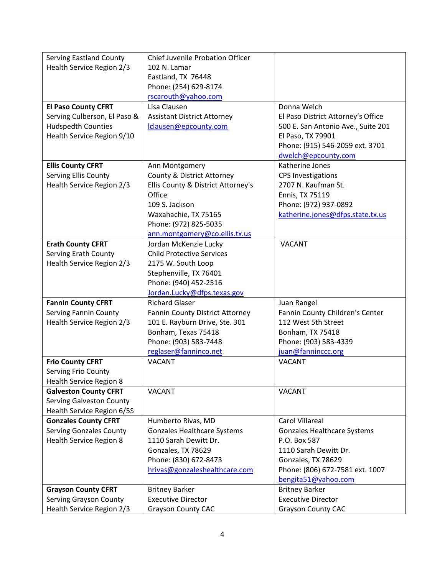| <b>Serving Eastland County</b>                                  | <b>Chief Juvenile Probation Officer</b> |                                    |
|-----------------------------------------------------------------|-----------------------------------------|------------------------------------|
| Health Service Region 2/3                                       | 102 N. Lamar                            |                                    |
|                                                                 | Eastland, TX 76448                      |                                    |
|                                                                 | Phone: (254) 629-8174                   |                                    |
|                                                                 | rscarouth@yahoo.com                     |                                    |
| <b>El Paso County CFRT</b>                                      | Lisa Clausen                            | Donna Welch                        |
| Serving Culberson, El Paso &                                    | <b>Assistant District Attorney</b>      | El Paso District Attorney's Office |
| <b>Hudspedth Counties</b>                                       | lclausen@epcounty.com                   | 500 E. San Antonio Ave., Suite 201 |
| Health Service Region 9/10                                      |                                         | El Paso, TX 79901                  |
|                                                                 |                                         | Phone: (915) 546-2059 ext. 3701    |
|                                                                 |                                         | dwelch@epcounty.com                |
| <b>Ellis County CFRT</b>                                        | Ann Montgomery                          | Katherine Jones                    |
| Serving Ellis County                                            | <b>County &amp; District Attorney</b>   | <b>CPS Investigations</b>          |
| Health Service Region 2/3                                       | Ellis County & District Attorney's      | 2707 N. Kaufman St.                |
|                                                                 | Office                                  | Ennis, TX 75119                    |
|                                                                 | 109 S. Jackson                          | Phone: (972) 937-0892              |
|                                                                 | Waxahachie, TX 75165                    | katherine.jones@dfps.state.tx.us   |
|                                                                 | Phone: (972) 825-5035                   |                                    |
|                                                                 | ann.montgomery@co.ellis.tx.us           |                                    |
| <b>Erath County CFRT</b>                                        | Jordan McKenzie Lucky                   | <b>VACANT</b>                      |
| <b>Serving Erath County</b>                                     | <b>Child Protective Services</b>        |                                    |
| Health Service Region 2/3                                       | 2175 W. South Loop                      |                                    |
|                                                                 | Stephenville, TX 76401                  |                                    |
|                                                                 | Phone: (940) 452-2516                   |                                    |
|                                                                 | Jordan.Lucky@dfps.texas.gov             |                                    |
| <b>Fannin County CFRT</b>                                       | <b>Richard Glaser</b>                   | Juan Rangel                        |
| <b>Serving Fannin County</b>                                    | <b>Fannin County District Attorney</b>  | Fannin County Children's Center    |
| Health Service Region 2/3                                       | 101 E. Rayburn Drive, Ste. 301          | 112 West 5th Street                |
|                                                                 | Bonham, Texas 75418                     | Bonham, TX 75418                   |
|                                                                 | Phone: (903) 583-7448                   | Phone: (903) 583-4339              |
|                                                                 | reglaser@fanninco.net                   | juan@fanninccc.org                 |
| <b>Frio County CFRT</b>                                         | <b>VACANT</b>                           | <b>VACANT</b>                      |
| Serving Frio County                                             |                                         |                                    |
| Health Service Region 8                                         |                                         |                                    |
| <b>Galveston County CFRT</b><br><b>Serving Galveston County</b> | <b>VACANT</b>                           | <b>VACANT</b>                      |
| Health Service Region 6/5S                                      |                                         |                                    |
| <b>Gonzales County CFRT</b>                                     | Humberto Rivas, MD                      | <b>Carol Villareal</b>             |
| <b>Serving Gonzales County</b>                                  | <b>Gonzales Healthcare Systems</b>      | <b>Gonzales Healthcare Systems</b> |
| <b>Health Service Region 8</b>                                  | 1110 Sarah Dewitt Dr.                   | P.O. Box 587                       |
|                                                                 | Gonzales, TX 78629                      | 1110 Sarah Dewitt Dr.              |
|                                                                 | Phone: (830) 672-8473                   | Gonzales, TX 78629                 |
|                                                                 | hrivas@gonzaleshealthcare.com           | Phone: (806) 672-7581 ext. 1007    |
|                                                                 |                                         | bengita51@yahoo.com                |
| <b>Grayson County CFRT</b>                                      | <b>Britney Barker</b>                   | <b>Britney Barker</b>              |
| <b>Serving Grayson County</b>                                   | <b>Executive Director</b>               | <b>Executive Director</b>          |
| Health Service Region 2/3                                       | <b>Grayson County CAC</b>               | <b>Grayson County CAC</b>          |
|                                                                 |                                         |                                    |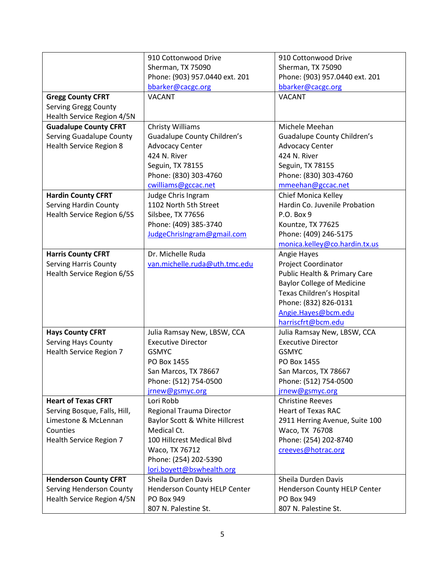|                                 | 910 Cottonwood Drive               | 910 Cottonwood Drive               |
|---------------------------------|------------------------------------|------------------------------------|
|                                 | Sherman, TX 75090                  | Sherman, TX 75090                  |
|                                 | Phone: (903) 957.0440 ext. 201     | Phone: (903) 957.0440 ext. 201     |
|                                 | bbarker@cacgc.org                  | bbarker@cacgc.org                  |
| <b>Gregg County CFRT</b>        | <b>VACANT</b>                      | <b>VACANT</b>                      |
| <b>Serving Gregg County</b>     |                                    |                                    |
| Health Service Region 4/5N      |                                    |                                    |
| <b>Guadalupe County CFRT</b>    | Christy Williams                   | Michele Meehan                     |
| <b>Serving Guadalupe County</b> | <b>Guadalupe County Children's</b> | <b>Guadalupe County Children's</b> |
| <b>Health Service Region 8</b>  | <b>Advocacy Center</b>             | <b>Advocacy Center</b>             |
|                                 | 424 N. River                       | 424 N. River                       |
|                                 | Seguin, TX 78155                   | Seguin, TX 78155                   |
|                                 | Phone: (830) 303-4760              | Phone: (830) 303-4760              |
|                                 | cwilliams@gccac.net                | mmeehan@gccac.net                  |
| <b>Hardin County CFRT</b>       | Judge Chris Ingram                 | Chief Monica Kelley                |
| <b>Serving Hardin County</b>    | 1102 North 5th Street              | Hardin Co. Juvenile Probation      |
| Health Service Region 6/5S      | Silsbee, TX 77656                  | P.O. Box 9                         |
|                                 | Phone: (409) 385-3740              | Kountze, TX 77625                  |
|                                 | JudgeChrisIngram@gmail.com         | Phone: (409) 246-5175              |
|                                 |                                    | monica.kelley@co.hardin.tx.us      |
| <b>Harris County CFRT</b>       | Dr. Michelle Ruda                  | Angie Hayes                        |
| <b>Serving Harris County</b>    | van.michelle.ruda@uth.tmc.edu      | Project Coordinator                |
| Health Service Region 6/5S      |                                    | Public Health & Primary Care       |
|                                 |                                    | <b>Baylor College of Medicine</b>  |
|                                 |                                    | Texas Children's Hospital          |
|                                 |                                    | Phone: (832) 826-0131              |
|                                 |                                    | Angie.Hayes@bcm.edu                |
|                                 |                                    | harriscfrt@bcm.edu                 |
| <b>Hays County CFRT</b>         | Julia Ramsay New, LBSW, CCA        | Julia Ramsay New, LBSW, CCA        |
| <b>Serving Hays County</b>      | <b>Executive Director</b>          | <b>Executive Director</b>          |
| <b>Health Service Region 7</b>  | <b>GSMYC</b>                       | <b>GSMYC</b>                       |
|                                 | PO Box 1455                        | PO Box 1455                        |
|                                 | San Marcos, TX 78667               | San Marcos, TX 78667               |
|                                 | Phone: (512) 754-0500              | Phone: (512) 754-0500              |
|                                 | jrnew@gsmyc.org                    | jrnew@gsmyc.org                    |
| <b>Heart of Texas CFRT</b>      | Lori Robb                          | <b>Christine Reeves</b>            |
| Serving Bosque, Falls, Hill,    | Regional Trauma Director           | <b>Heart of Texas RAC</b>          |
| Limestone & McLennan            | Baylor Scott & White Hillcrest     | 2911 Herring Avenue, Suite 100     |
| Counties                        | Medical Ct.                        | Waco, TX 76708                     |
| Health Service Region 7         | 100 Hillcrest Medical Blvd         | Phone: (254) 202-8740              |
|                                 | Waco, TX 76712                     | creeves@hotrac.org                 |
|                                 | Phone: (254) 202-5390              |                                    |
|                                 | lori.boyett@bswhealth.org          |                                    |
| <b>Henderson County CFRT</b>    | Sheila Durden Davis                | Sheila Durden Davis                |
| Serving Henderson County        | Henderson County HELP Center       | Henderson County HELP Center       |
| Health Service Region 4/5N      | PO Box 949                         | PO Box 949                         |
|                                 | 807 N. Palestine St.               | 807 N. Palestine St.               |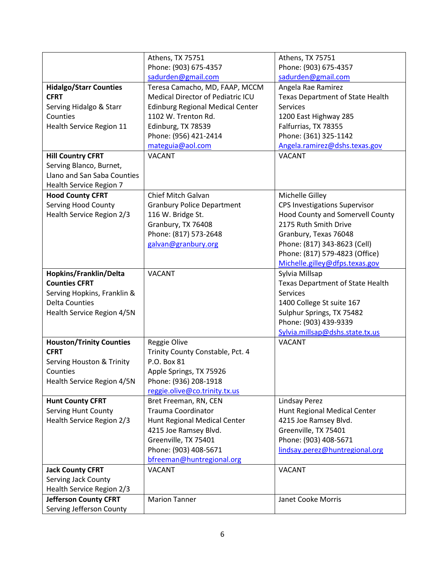|                                      | Athens, TX 75751                         | Athens, TX 75751                        |
|--------------------------------------|------------------------------------------|-----------------------------------------|
|                                      | Phone: (903) 675-4357                    | Phone: (903) 675-4357                   |
|                                      | sadurden@gmail.com                       | sadurden@gmail.com                      |
| <b>Hidalgo/Starr Counties</b>        | Teresa Camacho, MD, FAAP, MCCM           | Angela Rae Ramirez                      |
| <b>CFRT</b>                          | <b>Medical Director of Pediatric ICU</b> | <b>Texas Department of State Health</b> |
| Serving Hidalgo & Starr              | <b>Edinburg Regional Medical Center</b>  | <b>Services</b>                         |
| Counties                             | 1102 W. Trenton Rd.                      | 1200 East Highway 285                   |
| Health Service Region 11             | Edinburg, TX 78539                       | Falfurrias, TX 78355                    |
|                                      | Phone: (956) 421-2414                    | Phone: (361) 325-1142                   |
|                                      | mateguia@aol.com                         | Angela.ramirez@dshs.texas.gov           |
| <b>Hill Country CFRT</b>             | <b>VACANT</b>                            | <b>VACANT</b>                           |
| Serving Blanco, Burnet,              |                                          |                                         |
| Llano and San Saba Counties          |                                          |                                         |
| Health Service Region 7              |                                          |                                         |
| <b>Hood County CFRT</b>              | Chief Mitch Galvan                       | Michelle Gilley                         |
| <b>Serving Hood County</b>           | <b>Granbury Police Department</b>        | <b>CPS Investigations Supervisor</b>    |
| Health Service Region 2/3            | 116 W. Bridge St.                        | Hood County and Somervell County        |
|                                      | Granbury, TX 76408                       | 2175 Ruth Smith Drive                   |
|                                      | Phone: (817) 573-2648                    | Granbury, Texas 76048                   |
|                                      | galvan@granbury.org                      | Phone: (817) 343-8623 (Cell)            |
|                                      |                                          | Phone: (817) 579-4823 (Office)          |
|                                      |                                          | Michelle.gilley@dfps.texas.gov          |
| Hopkins/Franklin/Delta               | <b>VACANT</b>                            | Sylvia Millsap                          |
| <b>Counties CFRT</b>                 |                                          |                                         |
|                                      |                                          | <b>Texas Department of State Health</b> |
| Serving Hopkins, Franklin &          |                                          | <b>Services</b>                         |
| <b>Delta Counties</b>                |                                          | 1400 College St suite 167               |
| Health Service Region 4/5N           |                                          | Sulphur Springs, TX 75482               |
|                                      |                                          | Phone: (903) 439-9339                   |
|                                      |                                          | Sylvia.millsap@dshs.state.tx.us         |
| <b>Houston/Trinity Counties</b>      | Reggie Olive                             | <b>VACANT</b>                           |
| <b>CFRT</b>                          | Trinity County Constable, Pct. 4         |                                         |
| <b>Serving Houston &amp; Trinity</b> | P.O. Box 81                              |                                         |
| Counties                             | Apple Springs, TX 75926                  |                                         |
| Health Service Region 4/5N           | Phone: (936) 208-1918                    |                                         |
|                                      | reggie.olive@co.trinity.tx.us            |                                         |
| <b>Hunt County CFRT</b>              | Bret Freeman, RN, CEN                    | <b>Lindsay Perez</b>                    |
| <b>Serving Hunt County</b>           | <b>Trauma Coordinator</b>                | Hunt Regional Medical Center            |
| Health Service Region 2/3            | Hunt Regional Medical Center             | 4215 Joe Ramsey Blvd.                   |
|                                      | 4215 Joe Ramsey Blvd.                    | Greenville, TX 75401                    |
|                                      | Greenville, TX 75401                     | Phone: (903) 408-5671                   |
|                                      | Phone: (903) 408-5671                    | lindsay.perez@huntregional.org          |
|                                      | bfreeman@huntregional.org                |                                         |
| <b>Jack County CFRT</b>              | <b>VACANT</b>                            | <b>VACANT</b>                           |
| <b>Serving Jack County</b>           |                                          |                                         |
| Health Service Region 2/3            |                                          |                                         |
| <b>Jefferson County CFRT</b>         | <b>Marion Tanner</b>                     | Janet Cooke Morris                      |
| Serving Jefferson County             |                                          |                                         |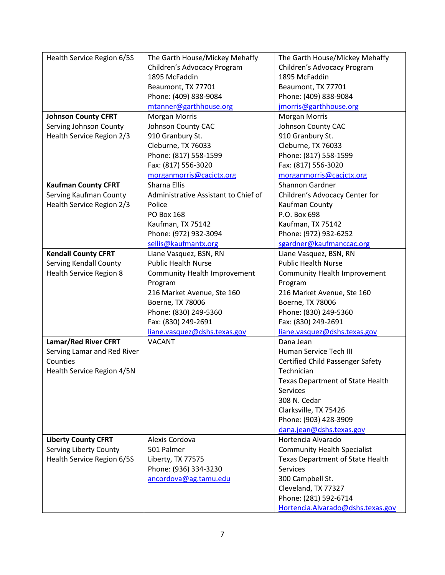| Health Service Region 6/5S     | The Garth House/Mickey Mehaffy       | The Garth House/Mickey Mehaffy               |
|--------------------------------|--------------------------------------|----------------------------------------------|
|                                | Children's Advocacy Program          | Children's Advocacy Program                  |
|                                | 1895 McFaddin                        | 1895 McFaddin                                |
|                                | Beaumont, TX 77701                   | Beaumont, TX 77701                           |
|                                | Phone: (409) 838-9084                | Phone: (409) 838-9084                        |
|                                | mtanner@garthhouse.org               | jmorris@garthhouse.org                       |
| <b>Johnson County CFRT</b>     | <b>Morgan Morris</b>                 | <b>Morgan Morris</b>                         |
| Serving Johnson County         | Johnson County CAC                   | Johnson County CAC                           |
| Health Service Region 2/3      | 910 Granbury St.                     | 910 Granbury St.                             |
|                                | Cleburne, TX 76033                   | Cleburne, TX 76033                           |
|                                | Phone: (817) 558-1599                | Phone: (817) 558-1599                        |
|                                | Fax: (817) 556-3020                  | Fax: (817) 556-3020                          |
|                                | morganmorris@cacjctx.org             | morganmorris@cacjctx.org                     |
| <b>Kaufman County CFRT</b>     | Sharna Ellis                         | Shannon Gardner                              |
| Serving Kaufman County         | Administrative Assistant to Chief of | Children's Advocacy Center for               |
| Health Service Region 2/3      | Police                               | Kaufman County                               |
|                                | <b>PO Box 168</b>                    | P.O. Box 698                                 |
|                                | Kaufman, TX 75142                    | Kaufman, TX 75142                            |
|                                | Phone: (972) 932-3094                | Phone: (972) 932-6252                        |
|                                | sellis@kaufmantx.org                 | sgardner@kaufmanccac.org                     |
| <b>Kendall County CFRT</b>     | Liane Vasquez, BSN, RN               | Liane Vasquez, BSN, RN                       |
| <b>Serving Kendall County</b>  | <b>Public Health Nurse</b>           | <b>Public Health Nurse</b>                   |
| <b>Health Service Region 8</b> | Community Health Improvement         | Community Health Improvement                 |
|                                | Program                              | Program                                      |
|                                | 216 Market Avenue, Ste 160           | 216 Market Avenue, Ste 160                   |
|                                | Boerne, TX 78006                     | Boerne, TX 78006                             |
|                                | Phone: (830) 249-5360                | Phone: (830) 249-5360                        |
|                                | Fax: (830) 249-2691                  | Fax: (830) 249-2691                          |
|                                | liane.vasquez@dshs.texas.gov         | liane.vasquez@dshs.texas.gov                 |
| <b>Lamar/Red River CFRT</b>    | <b>VACANT</b>                        | Dana Jean                                    |
| Serving Lamar and Red River    |                                      | Human Service Tech III                       |
| Counties                       |                                      | <b>Certified Child Passenger Safety</b>      |
| Health Service Region 4/5N     |                                      | Technician                                   |
|                                |                                      | <b>Texas Department of State Health</b>      |
|                                |                                      | <b>Services</b>                              |
|                                |                                      | 308 N. Cedar                                 |
|                                |                                      | Clarksville, TX 75426                        |
|                                |                                      | Phone: (903) 428-3909                        |
|                                |                                      | dana.jean@dshs.texas.gov                     |
| <b>Liberty County CFRT</b>     | Alexis Cordova                       | Hortencia Alvarado                           |
| <b>Serving Liberty County</b>  | 501 Palmer                           | <b>Community Health Specialist</b>           |
| Health Service Region 6/5S     | Liberty, TX 77575                    | <b>Texas Department of State Health</b>      |
|                                | Phone: (936) 334-3230                | <b>Services</b>                              |
|                                |                                      |                                              |
|                                |                                      |                                              |
|                                | ancordova@ag.tamu.edu                | 300 Campbell St.                             |
|                                |                                      | Cleveland, TX 77327<br>Phone: (281) 592-6714 |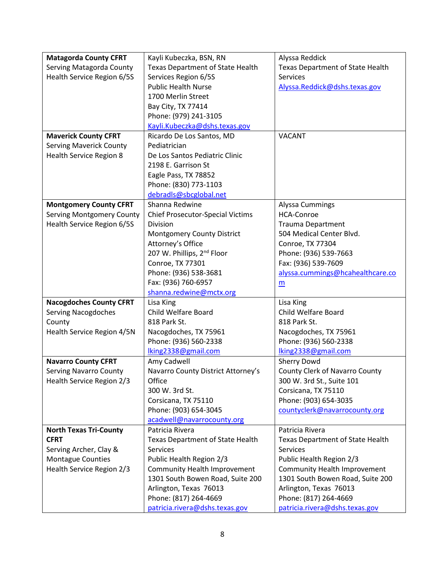| <b>Matagorda County CFRT</b>     | Kayli Kubeczka, BSN, RN                 | Alyssa Reddick                          |
|----------------------------------|-----------------------------------------|-----------------------------------------|
| Serving Matagorda County         | <b>Texas Department of State Health</b> | Texas Department of State Health        |
| Health Service Region 6/5S       | Services Region 6/5S                    | <b>Services</b>                         |
|                                  | <b>Public Health Nurse</b>              | Alyssa.Reddick@dshs.texas.gov           |
|                                  | 1700 Merlin Street                      |                                         |
|                                  | Bay City, TX 77414                      |                                         |
|                                  | Phone: (979) 241-3105                   |                                         |
|                                  | Kayli.Kubeczka@dshs.texas.gov           |                                         |
| <b>Maverick County CFRT</b>      | Ricardo De Los Santos, MD               | <b>VACANT</b>                           |
| <b>Serving Maverick County</b>   | Pediatrician                            |                                         |
| Health Service Region 8          | De Los Santos Pediatric Clinic          |                                         |
|                                  | 2198 E. Garrison St                     |                                         |
|                                  | Eagle Pass, TX 78852                    |                                         |
|                                  | Phone: (830) 773-1103                   |                                         |
|                                  | debradls@sbcglobal.net                  |                                         |
| <b>Montgomery County CFRT</b>    | Shanna Redwine                          | Alyssa Cummings                         |
| <b>Serving Montgomery County</b> | <b>Chief Prosecutor-Special Victims</b> | <b>HCA-Conroe</b>                       |
| Health Service Region 6/5S       | Division                                | <b>Trauma Department</b>                |
|                                  | Montgomery County District              | 504 Medical Center Blvd.                |
|                                  | Attorney's Office                       | Conroe, TX 77304                        |
|                                  | 207 W. Phillips, 2 <sup>nd</sup> Floor  | Phone: (936) 539-7663                   |
|                                  | Conroe, TX 77301                        | Fax: (936) 539-7609                     |
|                                  | Phone: (936) 538-3681                   | alyssa.cummings@hcahealthcare.co        |
|                                  | Fax: (936) 760-6957                     | m                                       |
|                                  | shanna.redwine@mctx.org                 |                                         |
| <b>Nacogdoches County CFRT</b>   | Lisa King                               | Lisa King                               |
| <b>Serving Nacogdoches</b>       | Child Welfare Board                     | <b>Child Welfare Board</b>              |
| County                           | 818 Park St.                            | 818 Park St.                            |
| Health Service Region 4/5N       | Nacogdoches, TX 75961                   | Nacogdoches, TX 75961                   |
|                                  | Phone: (936) 560-2338                   | Phone: (936) 560-2338                   |
|                                  | lking2338@gmail.com                     | lking2338@gmail.com                     |
| <b>Navarro County CFRT</b>       | Amy Cadwell                             | Sherry Dowd                             |
| <b>Serving Navarro County</b>    | Navarro County District Attorney's      | County Clerk of Navarro County          |
| Health Service Region 2/3        | Office                                  | 300 W. 3rd St., Suite 101               |
|                                  | 300 W. 3rd St.                          | Corsicana, TX 75110                     |
|                                  | Corsicana, TX 75110                     | Phone: (903) 654-3035                   |
|                                  | Phone: (903) 654-3045                   | countyclerk@navarrocounty.org           |
|                                  | acadwell@navarrocounty.org              |                                         |
| <b>North Texas Tri-County</b>    | Patricia Rivera                         | Patricia Rivera                         |
| <b>CFRT</b>                      | <b>Texas Department of State Health</b> | <b>Texas Department of State Health</b> |
| Serving Archer, Clay &           | <b>Services</b>                         | <b>Services</b>                         |
| <b>Montague Counties</b>         | Public Health Region 2/3                | Public Health Region 2/3                |
| Health Service Region 2/3        | Community Health Improvement            | Community Health Improvement            |
|                                  | 1301 South Bowen Road, Suite 200        | 1301 South Bowen Road, Suite 200        |
|                                  | Arlington, Texas 76013                  | Arlington, Texas 76013                  |
|                                  | Phone: (817) 264-4669                   | Phone: (817) 264-4669                   |
|                                  | patricia.rivera@dshs.texas.gov          | patricia.rivera@dshs.texas.gov          |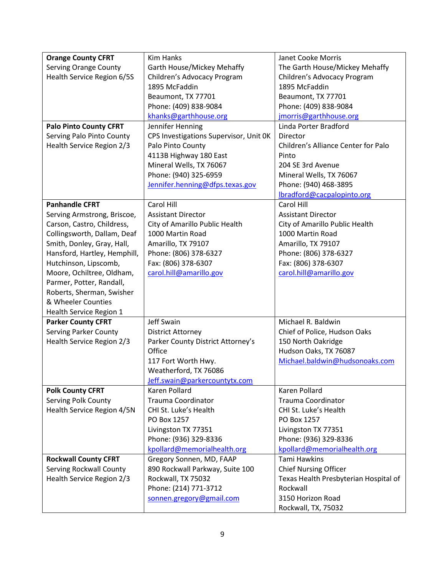| <b>Orange County CFRT</b>        | <b>Kim Hanks</b>                       | Janet Cooke Morris                    |
|----------------------------------|----------------------------------------|---------------------------------------|
| <b>Serving Orange County</b>     | Garth House/Mickey Mehaffy             | The Garth House/Mickey Mehaffy        |
| Health Service Region 6/5S       | Children's Advocacy Program            | Children's Advocacy Program           |
|                                  | 1895 McFaddin                          | 1895 McFaddin                         |
|                                  | Beaumont, TX 77701                     | Beaumont, TX 77701                    |
|                                  | Phone: (409) 838-9084                  | Phone: (409) 838-9084                 |
|                                  | khanks@garthhouse.org                  | jmorris@garthhouse.org                |
| <b>Palo Pinto County CFRT</b>    | Jennifer Henning                       | Linda Porter Bradford                 |
| Serving Palo Pinto County        | CPS Investigations Supervisor, Unit OK | Director                              |
| Health Service Region 2/3        | Palo Pinto County                      | Children's Alliance Center for Palo   |
|                                  | 4113B Highway 180 East                 | Pinto                                 |
|                                  | Mineral Wells, TX 76067                | 204 SE 3rd Avenue                     |
|                                  | Phone: (940) 325-6959                  | Mineral Wells, TX 76067               |
|                                  | Jennifer.henning@dfps.texas.gov        | Phone: (940) 468-3895                 |
|                                  |                                        | lbradford@cacpalopinto.org            |
| <b>Panhandle CFRT</b>            | Carol Hill                             | Carol Hill                            |
| Serving Armstrong, Briscoe,      | <b>Assistant Director</b>              | <b>Assistant Director</b>             |
| Carson, Castro, Childress,       | City of Amarillo Public Health         | City of Amarillo Public Health        |
| Collingsworth, Dallam, Deaf      | 1000 Martin Road                       | 1000 Martin Road                      |
| Smith, Donley, Gray, Hall,       | Amarillo, TX 79107                     | Amarillo, TX 79107                    |
| Hansford, Hartley, Hemphill,     | Phone: (806) 378-6327                  | Phone: (806) 378-6327                 |
| Hutchinson, Lipscomb,            | Fax: (806) 378-6307                    | Fax: (806) 378-6307                   |
| Moore, Ochiltree, Oldham,        | carol.hill@amarillo.gov                | carol.hill@amarillo.gov               |
| Parmer, Potter, Randall,         |                                        |                                       |
| Roberts, Sherman, Swisher        |                                        |                                       |
| & Wheeler Counties               |                                        |                                       |
| Health Service Region 1          |                                        |                                       |
| <b>Parker County CFRT</b>        | Jeff Swain                             | Michael R. Baldwin                    |
| <b>Serving Parker County</b>     | <b>District Attorney</b>               | Chief of Police, Hudson Oaks          |
| <b>Health Service Region 2/3</b> | Parker County District Attorney's      | 150 North Oakridge                    |
|                                  | Office                                 | Hudson Oaks, TX 76087                 |
|                                  | 117 Fort Worth Hwy.                    | Michael.baldwin@hudsonoaks.com        |
|                                  | Weatherford, TX 76086                  |                                       |
|                                  | Jeff.swain@parkercountytx.com          |                                       |
| <b>Polk County CFRT</b>          | Karen Pollard                          | Karen Pollard                         |
| <b>Serving Polk County</b>       | <b>Trauma Coordinator</b>              | Trauma Coordinator                    |
| Health Service Region 4/5N       | CHI St. Luke's Health                  | CHI St. Luke's Health                 |
|                                  | PO Box 1257                            | PO Box 1257                           |
|                                  | Livingston TX 77351                    | Livingston TX 77351                   |
|                                  | Phone: (936) 329-8336                  | Phone: (936) 329-8336                 |
|                                  | kpollard@memorialhealth.org            | kpollard@memorialhealth.org           |
| <b>Rockwall County CFRT</b>      | Gregory Sonnen, MD, FAAP               | <b>Tami Hawkins</b>                   |
| <b>Serving Rockwall County</b>   | 890 Rockwall Parkway, Suite 100        | <b>Chief Nursing Officer</b>          |
| Health Service Region 2/3        | Rockwall, TX 75032                     | Texas Health Presbyterian Hospital of |
|                                  | Phone: (214) 771-3712                  | Rockwall                              |
|                                  | sonnen.gregory@gmail.com               | 3150 Horizon Road                     |
|                                  |                                        | Rockwall, TX, 75032                   |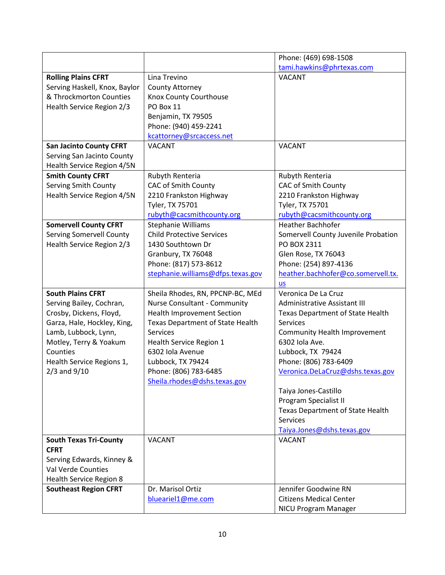|                                 |                                   | Phone: (469) 698-1508                   |
|---------------------------------|-----------------------------------|-----------------------------------------|
|                                 |                                   | tami.hawkins@phrtexas.com               |
| <b>Rolling Plains CFRT</b>      | Lina Trevino                      | <b>VACANT</b>                           |
| Serving Haskell, Knox, Baylor   | County Attorney                   |                                         |
| & Throckmorton Counties         | Knox County Courthouse            |                                         |
| Health Service Region 2/3       | PO Box 11                         |                                         |
|                                 | Benjamin, TX 79505                |                                         |
|                                 | Phone: (940) 459-2241             |                                         |
|                                 | kcattorney@srcaccess.net          |                                         |
| <b>San Jacinto County CFRT</b>  | <b>VACANT</b>                     | <b>VACANT</b>                           |
| Serving San Jacinto County      |                                   |                                         |
| Health Service Region 4/5N      |                                   |                                         |
| <b>Smith County CFRT</b>        | Rubyth Renteria                   | Rubyth Renteria                         |
| <b>Serving Smith County</b>     | <b>CAC of Smith County</b>        | <b>CAC of Smith County</b>              |
| Health Service Region 4/5N      | 2210 Frankston Highway            | 2210 Frankston Highway                  |
|                                 | Tyler, TX 75701                   | Tyler, TX 75701                         |
|                                 | rubyth@cacsmithcounty.org         | rubyth@cacsmithcounty.org               |
| <b>Somervell County CFRT</b>    | Stephanie Williams                | Heather Bachhofer                       |
| <b>Serving Somervell County</b> | <b>Child Protective Services</b>  | Somervell County Juvenile Probation     |
| Health Service Region 2/3       | 1430 Southtown Dr                 | PO BOX 2311                             |
|                                 | Granbury, TX 76048                | Glen Rose, TX 76043                     |
|                                 | Phone: (817) 573-8612             | Phone: (254) 897-4136                   |
|                                 | stephanie.williams@dfps.texas.gov | heather.bachhofer@co.somervell.tx.      |
|                                 |                                   | <b>us</b>                               |
| <b>South Plains CFRT</b>        | Sheila Rhodes, RN, PPCNP-BC, MEd  | Veronica De La Cruz                     |
| Serving Bailey, Cochran,        | Nurse Consultant - Community      | Administrative Assistant III            |
| Crosby, Dickens, Floyd,         | <b>Health Improvement Section</b> | <b>Texas Department of State Health</b> |
| Garza, Hale, Hockley, King,     | Texas Department of State Health  | <b>Services</b>                         |
| Lamb, Lubbock, Lynn,            | <b>Services</b>                   | Community Health Improvement            |
| Motley, Terry & Yoakum          | Health Service Region 1           | 6302 Iola Ave.                          |
| Counties                        | 6302 Iola Avenue                  | Lubbock, TX 79424                       |
| Health Service Regions 1,       | Lubbock, TX 79424                 | Phone: (806) 783-6409                   |
| $2/3$ and $9/10$                | Phone: (806) 783-6485             | Veronica.DeLaCruz@dshs.texas.gov        |
|                                 | Sheila.rhodes@dshs.texas.gov      |                                         |
|                                 |                                   | Taiya Jones-Castillo                    |
|                                 |                                   | Program Specialist II                   |
|                                 |                                   | Texas Department of State Health        |
|                                 |                                   | <b>Services</b>                         |
|                                 |                                   | Taiya.Jones@dshs.texas.gov              |
| <b>South Texas Tri-County</b>   | <b>VACANT</b>                     | <b>VACANT</b>                           |
| <b>CFRT</b>                     |                                   |                                         |
| Serving Edwards, Kinney &       |                                   |                                         |
| Val Verde Counties              |                                   |                                         |
| Health Service Region 8         |                                   |                                         |
| <b>Southeast Region CFRT</b>    | Dr. Marisol Ortiz                 | Jennifer Goodwine RN                    |
|                                 | blueariel1@me.com                 | <b>Citizens Medical Center</b>          |
|                                 |                                   | NICU Program Manager                    |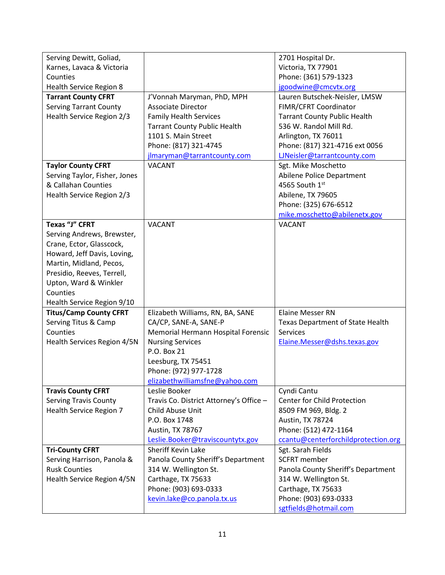| Serving Dewitt, Goliad,       |                                         | 2701 Hospital Dr.                   |
|-------------------------------|-----------------------------------------|-------------------------------------|
| Karnes, Lavaca & Victoria     |                                         | Victoria, TX 77901                  |
| Counties                      |                                         | Phone: (361) 579-1323               |
| Health Service Region 8       |                                         | jgoodwine@cmcvtx.org                |
| <b>Tarrant County CFRT</b>    | J'Vonnah Maryman, PhD, MPH              | Lauren Butschek-Neisler, LMSW       |
| <b>Serving Tarrant County</b> | <b>Associate Director</b>               | FIMR/CFRT Coordinator               |
| Health Service Region 2/3     | <b>Family Health Services</b>           | <b>Tarrant County Public Health</b> |
|                               | <b>Tarrant County Public Health</b>     | 536 W. Randol Mill Rd.              |
|                               | 1101 S. Main Street                     | Arlington, TX 76011                 |
|                               | Phone: (817) 321-4745                   | Phone: (817) 321-4716 ext 0056      |
|                               | jlmaryman@tarrantcounty.com             | LINeisler@tarrantcounty.com         |
| <b>Taylor County CFRT</b>     | <b>VACANT</b>                           | Sgt. Mike Moschetto                 |
| Serving Taylor, Fisher, Jones |                                         | Abilene Police Department           |
| & Callahan Counties           |                                         | 4565 South 1st                      |
| Health Service Region 2/3     |                                         | Abilene, TX 79605                   |
|                               |                                         | Phone: (325) 676-6512               |
|                               |                                         | mike.moschetto@abilenetx.gov        |
| Texas "J" CFRT                | <b>VACANT</b>                           | <b>VACANT</b>                       |
| Serving Andrews, Brewster,    |                                         |                                     |
| Crane, Ector, Glasscock,      |                                         |                                     |
| Howard, Jeff Davis, Loving,   |                                         |                                     |
| Martin, Midland, Pecos,       |                                         |                                     |
| Presidio, Reeves, Terrell,    |                                         |                                     |
| Upton, Ward & Winkler         |                                         |                                     |
| Counties                      |                                         |                                     |
| Health Service Region 9/10    |                                         |                                     |
| <b>Titus/Camp County CFRT</b> | Elizabeth Williams, RN, BA, SANE        | <b>Elaine Messer RN</b>             |
| Serving Titus & Camp          | CA/CP, SANE-A, SANE-P                   | Texas Department of State Health    |
| Counties                      | Memorial Hermann Hospital Forensic      | <b>Services</b>                     |
| Health Services Region 4/5N   | <b>Nursing Services</b>                 | Elaine.Messer@dshs.texas.gov        |
|                               | P.O. Box 21                             |                                     |
|                               | Leesburg, TX 75451                      |                                     |
|                               | Phone: (972) 977-1728                   |                                     |
|                               | elizabethwilliamsfne@yahoo.com          |                                     |
| <b>Travis County CFRT</b>     | Leslie Booker                           | Cyndi Cantu                         |
| <b>Serving Travis County</b>  | Travis Co. District Attorney's Office - | Center for Child Protection         |
| Health Service Region 7       | Child Abuse Unit                        | 8509 FM 969, Bldg. 2                |
|                               | P.O. Box 1748                           | Austin, TX 78724                    |
|                               | Austin, TX 78767                        | Phone: (512) 472-1164               |
|                               | Leslie.Booker@traviscountytx.gov        | ccantu@centerforchildprotection.org |
| <b>Tri-County CFRT</b>        | Sheriff Kevin Lake                      | Sgt. Sarah Fields                   |
| Serving Harrison, Panola &    | Panola County Sheriff's Department      | <b>SCFRT</b> member                 |
| <b>Rusk Counties</b>          | 314 W. Wellington St.                   | Panola County Sheriff's Department  |
| Health Service Region 4/5N    | Carthage, TX 75633                      | 314 W. Wellington St.               |
|                               | Phone: (903) 693-0333                   | Carthage, TX 75633                  |
|                               | kevin.lake@co.panola.tx.us              | Phone: (903) 693-0333               |
|                               |                                         | sgtfields@hotmail.com               |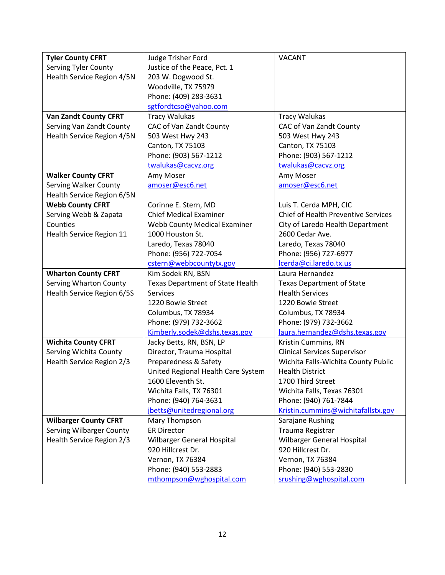| <b>Tyler County CFRT</b>        | Judge Trisher Ford                      | <b>VACANT</b>                              |
|---------------------------------|-----------------------------------------|--------------------------------------------|
| <b>Serving Tyler County</b>     | Justice of the Peace, Pct. 1            |                                            |
| Health Service Region 4/5N      | 203 W. Dogwood St.                      |                                            |
|                                 | Woodville, TX 75979                     |                                            |
|                                 | Phone: (409) 283-3631                   |                                            |
|                                 | sgtfordtcso@yahoo.com                   |                                            |
| <b>Van Zandt County CFRT</b>    | <b>Tracy Walukas</b>                    | <b>Tracy Walukas</b>                       |
| Serving Van Zandt County        | CAC of Van Zandt County                 | CAC of Van Zandt County                    |
| Health Service Region 4/5N      | 503 West Hwy 243                        | 503 West Hwy 243                           |
|                                 | Canton, TX 75103                        | Canton, TX 75103                           |
|                                 | Phone: (903) 567-1212                   | Phone: (903) 567-1212                      |
|                                 | twalukas@cacvz.org                      | twalukas@cacvz.org                         |
| <b>Walker County CFRT</b>       | Amy Moser                               | Amy Moser                                  |
| <b>Serving Walker County</b>    | amoser@esc6.net                         | amoser@esc6.net                            |
| Health Service Region 6/5N      |                                         |                                            |
| <b>Webb County CFRT</b>         | Corinne E. Stern, MD                    | Luis T. Cerda MPH, CIC                     |
| Serving Webb & Zapata           | <b>Chief Medical Examiner</b>           | <b>Chief of Health Preventive Services</b> |
| Counties                        | <b>Webb County Medical Examiner</b>     | City of Laredo Health Department           |
| Health Service Region 11        | 1000 Houston St.                        | 2600 Cedar Ave.                            |
|                                 | Laredo, Texas 78040                     | Laredo, Texas 78040                        |
|                                 | Phone: (956) 722-7054                   | Phone: (956) 727-6977                      |
|                                 | cstern@webbcountytx.gov                 | lcerda@ci.laredo.tx.us                     |
| <b>Wharton County CFRT</b>      | Kim Sodek RN, BSN                       | Laura Hernandez                            |
| <b>Serving Wharton County</b>   | <b>Texas Department of State Health</b> | <b>Texas Department of State</b>           |
| Health Service Region 6/5S      | <b>Services</b>                         | <b>Health Services</b>                     |
|                                 | 1220 Bowie Street                       | 1220 Bowie Street                          |
|                                 | Columbus, TX 78934                      | Columbus, TX 78934                         |
|                                 | Phone: (979) 732-3662                   | Phone: (979) 732-3662                      |
|                                 | Kimberly.sodek@dshs.texas.gov           | laura.hernandez@dshs.texas.gov             |
| <b>Wichita County CFRT</b>      | Jacky Betts, RN, BSN, LP                | Kristin Cummins, RN                        |
| Serving Wichita County          | Director, Trauma Hospital               | <b>Clinical Services Supervisor</b>        |
| Health Service Region 2/3       | Preparedness & Safety                   | Wichita Falls-Wichita County Public        |
|                                 | United Regional Health Care System      | <b>Health District</b>                     |
|                                 | 1600 Eleventh St.                       | 1700 Third Street                          |
|                                 | Wichita Falls, TX 76301                 | Wichita Falls, Texas 76301                 |
|                                 | Phone: (940) 764-3631                   | Phone: (940) 761-7844                      |
|                                 | jbetts@unitedregional.org               | Kristin.cummins@wichitafallstx.gov         |
| <b>Wilbarger County CFRT</b>    | Mary Thompson                           | Sarajane Rushing                           |
| <b>Serving Wilbarger County</b> | <b>ER Director</b>                      | Trauma Registrar                           |
| Health Service Region 2/3       | Wilbarger General Hospital              | Wilbarger General Hospital                 |
|                                 | 920 Hillcrest Dr.                       | 920 Hillcrest Dr.                          |
|                                 | Vernon, TX 76384                        | Vernon, TX 76384                           |
|                                 | Phone: (940) 553-2883                   | Phone: (940) 553-2830                      |
|                                 | mthompson@wghospital.com                | srushing@wghospital.com                    |